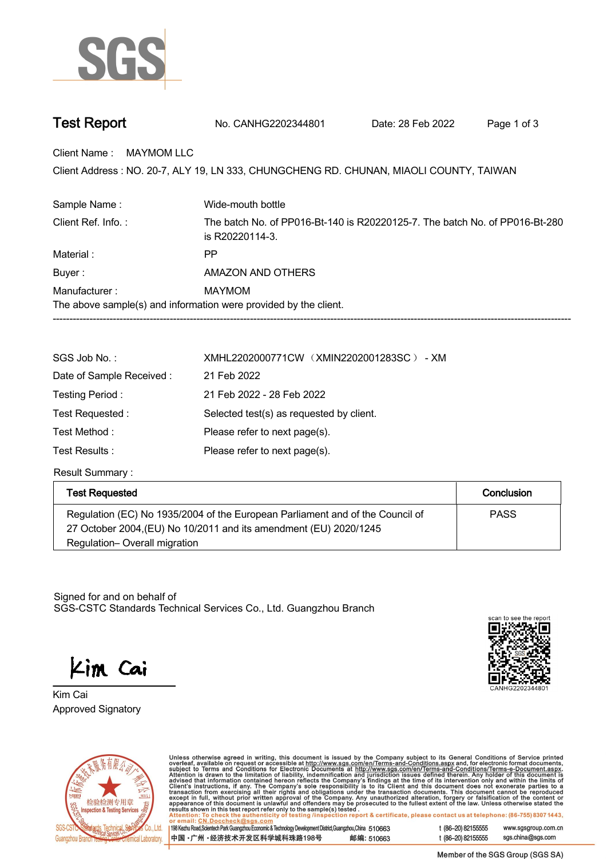

| <b>Test Report</b> | No. CANHG2202344801 | Date: 28 Feb 2022 | Page 1 of 3 |  |
|--------------------|---------------------|-------------------|-------------|--|
|--------------------|---------------------|-------------------|-------------|--|

**Client Name : MAYMOM LLC.**

Client Address : NO. 20-7, ALY 19, LN 333, CHUNGCHENG RD. CHUNAN, MIAOLI COUNTY, TAIWAN<br>.

| Sample Name:                                                     | Wide-mouth bottle                                                                              |  |
|------------------------------------------------------------------|------------------------------------------------------------------------------------------------|--|
| Client Ref. Info.:                                               | The batch No. of PP016-Bt-140 is R20220125-7. The batch No. of PP016-Bt-280<br>is R20220114-3. |  |
| Material:                                                        | PP                                                                                             |  |
| Buyer:                                                           | AMAZON AND OTHERS                                                                              |  |
| Manufacturer:                                                    | MAYMOM                                                                                         |  |
| The above sample(s) and information were provided by the client. |                                                                                                |  |
|                                                                  |                                                                                                |  |

| SGS Job No.:             | XMHL2202000771CW (XMIN2202001283SC) - XM |
|--------------------------|------------------------------------------|
| Date of Sample Received: | 21 Feb 2022                              |
| Testing Period:          | 21 Feb 2022 - 28 Feb 2022                |
| Test Requested:          | Selected test(s) as requested by client. |
| Test Method:             | Please refer to next page(s).            |
| Test Results :           | Please refer to next page(s).            |

**Result Summary :.**

| <b>Test Requested</b>                                                                                                                              | Conclusion  |
|----------------------------------------------------------------------------------------------------------------------------------------------------|-------------|
| Regulation (EC) No 1935/2004 of the European Parliament and of the Council of<br>27 October 2004, (EU) No 10/2011 and its amendment (EU) 2020/1245 | <b>PASS</b> |
| Regulation-Overall migration                                                                                                                       |             |

Signed for and on behalf of SGS-CSTC Standards Technical Services Co., Ltd. Guangzhou Branch.

Kim Cai

**Approved Signatory . . . Kim Cai.**





Unless otherwise agreed in writing, this document is issued by the Company subject to its General Conditions of Service printed overleaf, available on request or accessible at http://www.sgs.com/en/Terms-and-Conditions.as

198 Kezhu Road, Scientech Park Guangzhou Economic & Technology Development District, Guangzhou, China 510663 中国·广州·经济技术开发区科学城科珠路198号 邮编: 510663 t (86-20) 82155555 www.sgsgroup.com.cn sgs.china@sgs.com t (86-20) 82155555

Member of the SGS Group (SGS SA)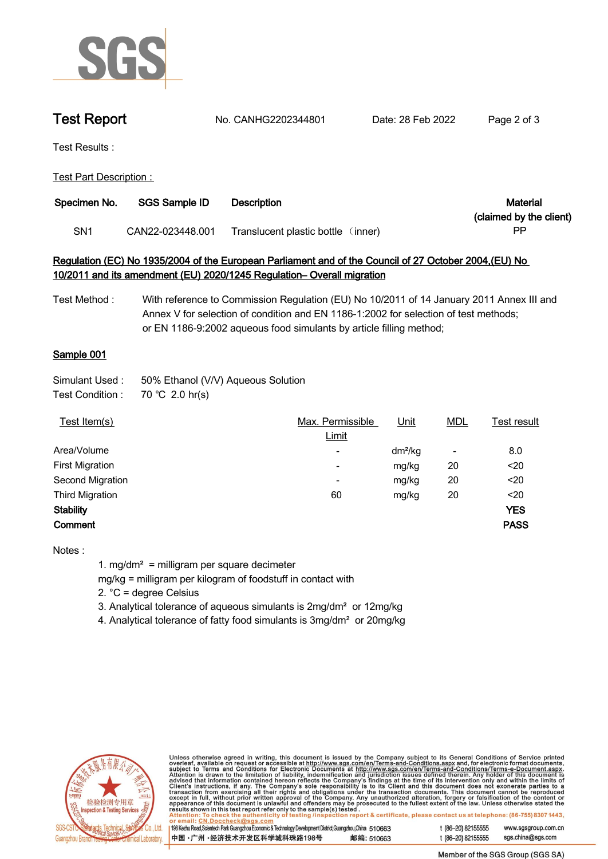

**Test Report. No. CANHG2202344801 . Date: 28 Feb 2022. Page 2 of 3.**

**Test Results :.**

**Test Part Description : .**

| Specimen No.    | SGS Sample ID    | Description                        | Material                |
|-----------------|------------------|------------------------------------|-------------------------|
|                 |                  |                                    | (claimed by the client) |
| SN <sub>1</sub> | CAN22-023448.001 | Translucent plastic bottle (inner) | РP                      |

## **Regulation (EC) No 1935/2004 of the European Parliament and of the Council of 27 October 2004,(EU) No 10/2011 and its amendment (EU) 2020/1245 Regulation– Overall migration**

**Test Method : With reference to Commission Regulation (EU) No 10/2011 of 14 January 2011 Annex III and Annex V for selection of condition and EN 1186-1:2002 for selection of test methods; or EN 1186-9:2002 aqueous food simulants by article filling method;**

## **Sample 001.**

| Simulant Used : | 50% Ethanol (V/V) Aqueous Solution |  |  |
|-----------------|------------------------------------|--|--|
|-----------------|------------------------------------|--|--|

**Test Condition :. 70.℃ 2.0.hr(s).**

| Test Item(s)           | Max. Permissible         | <u>Unit</u> | <b>MDL</b>               | Test result |
|------------------------|--------------------------|-------------|--------------------------|-------------|
|                        | Limit                    |             |                          |             |
| Area/Volume            | ٠                        | $dm^2/kg$   | $\overline{\phantom{a}}$ | 8.0         |
| <b>First Migration</b> | $\overline{\phantom{0}}$ | mg/kg       | 20                       | $20$        |
| Second Migration       | $\overline{\phantom{0}}$ | mg/kg       | 20                       | $20$        |
| <b>Third Migration</b> | 60                       | mg/kg       | 20                       | $20$        |
| <b>Stability</b>       |                          |             |                          | <b>YES</b>  |
| Comment                |                          |             |                          | <b>PASS</b> |
|                        |                          |             |                          |             |

**Notes :**

**1. mg/dm² = milligram per square decimeter**

**mg/kg = milligram per kilogram of foodstuff in contact with**

**2. °C = degree Celsius**

**3. Analytical tolerance of aqueous simulants is 2mg/dm² or 12mg/kg**

**4. Analytical tolerance of fatty food simulants is 3mg/dm² or 20mg/kg .**



Unless otherwise agreed in writing, this document is issued by the Company subject to its General Conditions of Service printed overleaf, available on request or accessible at http://www.sgs.com/en/Terms-and-Conditions.as

198 Kezhu Road, Scientech Park Guangzhou Economic & Technology Development District, Guangzhou, China 510663 中国 •广州 •经济技术开发区科学城科珠路198号 邮编: 510663 t (86-20) 82155555 www.sgsgroup.com.cn t (86-20) 82155555 sgs.china@sgs.com